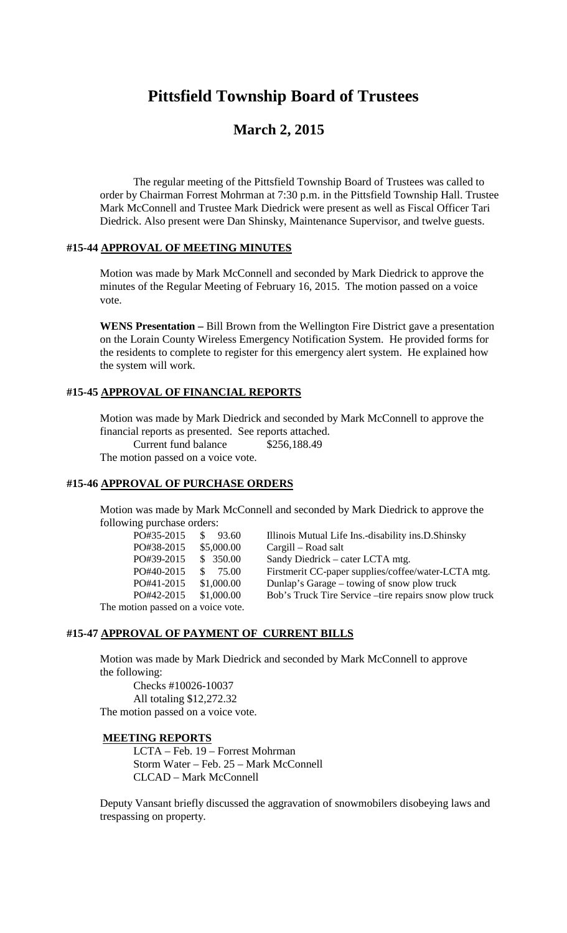# **Pittsfield Township Board of Trustees**

# **March 2, 2015**

The regular meeting of the Pittsfield Township Board of Trustees was called to order by Chairman Forrest Mohrman at 7:30 p.m. in the Pittsfield Township Hall. Trustee Mark McConnell and Trustee Mark Diedrick were present as well as Fiscal Officer Tari Diedrick. Also present were Dan Shinsky, Maintenance Supervisor, and twelve guests.

#### **#15-44 APPROVAL OF MEETING MINUTES**

Motion was made by Mark McConnell and seconded by Mark Diedrick to approve the minutes of the Regular Meeting of February 16, 2015. The motion passed on a voice vote.

**WENS Presentation –** Bill Brown from the Wellington Fire District gave a presentation on the Lorain County Wireless Emergency Notification System. He provided forms for the residents to complete to register for this emergency alert system. He explained how the system will work.

# **#15-45 APPROVAL OF FINANCIAL REPORTS**

Motion was made by Mark Diedrick and seconded by Mark McConnell to approve the financial reports as presented. See reports attached.

Current fund balance \$256,188.49

The motion passed on a voice vote.

#### **#15-46 APPROVAL OF PURCHASE ORDERS**

Motion was made by Mark McConnell and seconded by Mark Diedrick to approve the following purchase orders:

| PO#35-2015                         | 93.60                             | Illinois Mutual Life Ins.-disability ins.D.Shinsky      |
|------------------------------------|-----------------------------------|---------------------------------------------------------|
| PO#38-2015                         | \$5,000.00<br>Cargill – Road salt |                                                         |
| PO#39-2015                         | \$350.00                          | Sandy Diedrick – cater LCTA mtg.                        |
| PO#40-2015                         | 75.00                             | Firstmerit CC-paper supplies/coffee/water-LCTA mtg.     |
| PO#41-2015                         | \$1,000.00                        | Dunlap's Garage – towing of snow plow truck             |
| PO#42-2015                         | \$1,000.00                        | Bob's Truck Tire Service – tire repairs snow plow truck |
| The motion passed on a voice vote. |                                   |                                                         |

# **#15-47 APPROVAL OF PAYMENT OF CURRENT BILLS**

Motion was made by Mark Diedrick and seconded by Mark McConnell to approve the following:

Checks #10026-10037 All totaling \$12,272.32 The motion passed on a voice vote.

#### **MEETING REPORTS**

LCTA – Feb. 19 – Forrest Mohrman Storm Water – Feb. 25 – Mark McConnell CLCAD – Mark McConnell

Deputy Vansant briefly discussed the aggravation of snowmobilers disobeying laws and trespassing on property.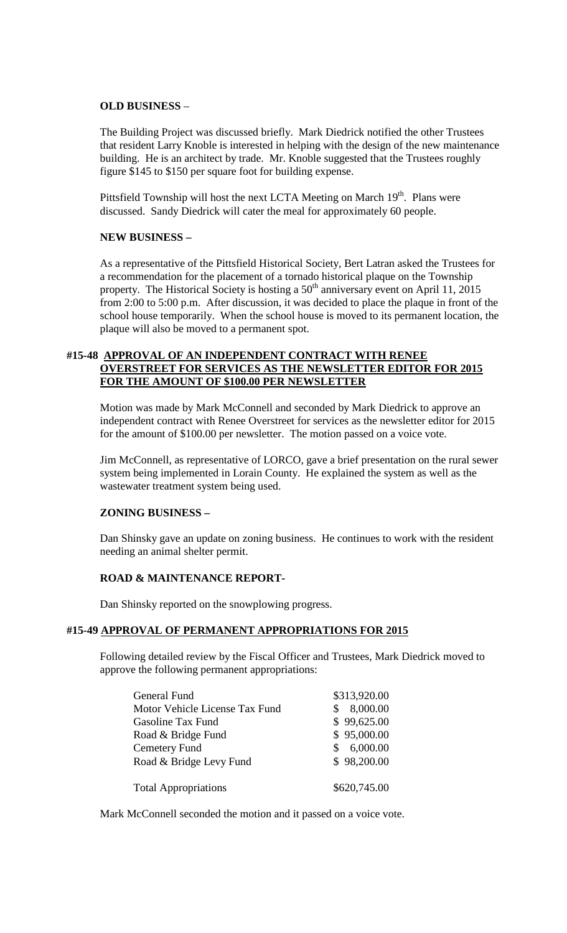#### **OLD BUSINESS** –

The Building Project was discussed briefly. Mark Diedrick notified the other Trustees that resident Larry Knoble is interested in helping with the design of the new maintenance building. He is an architect by trade. Mr. Knoble suggested that the Trustees roughly figure \$145 to \$150 per square foot for building expense.

Pittsfield Township will host the next LCTA Meeting on March  $19<sup>th</sup>$ . Plans were discussed. Sandy Diedrick will cater the meal for approximately 60 people.

#### **NEW BUSINESS –**

As a representative of the Pittsfield Historical Society, Bert Latran asked the Trustees for a recommendation for the placement of a tornado historical plaque on the Township property. The Historical Society is hosting a  $50<sup>th</sup>$  anniversary event on April 11, 2015 from 2:00 to 5:00 p.m. After discussion, it was decided to place the plaque in front of the school house temporarily. When the school house is moved to its permanent location, the plaque will also be moved to a permanent spot.

# **#15-48 APPROVAL OF AN INDEPENDENT CONTRACT WITH RENEE OVERSTREET FOR SERVICES AS THE NEWSLETTER EDITOR FOR 2015 FOR THE AMOUNT OF \$100.00 PER NEWSLETTER**

Motion was made by Mark McConnell and seconded by Mark Diedrick to approve an independent contract with Renee Overstreet for services as the newsletter editor for 2015 for the amount of \$100.00 per newsletter. The motion passed on a voice vote.

Jim McConnell, as representative of LORCO, gave a brief presentation on the rural sewer system being implemented in Lorain County. He explained the system as well as the wastewater treatment system being used.

#### **ZONING BUSINESS –**

Dan Shinsky gave an update on zoning business. He continues to work with the resident needing an animal shelter permit.

#### **ROAD & MAINTENANCE REPORT-**

Dan Shinsky reported on the snowplowing progress.

#### **#15-49 APPROVAL OF PERMANENT APPROPRIATIONS FOR 2015**

Following detailed review by the Fiscal Officer and Trustees, Mark Diedrick moved to approve the following permanent appropriations:

| \$313,920.00 |
|--------------|
| 8,000.00     |
| \$99,625.00  |
| \$95,000.00  |
| 6,000.00     |
| \$98,200.00  |
|              |
| \$620,745.00 |
|              |

Mark McConnell seconded the motion and it passed on a voice vote.